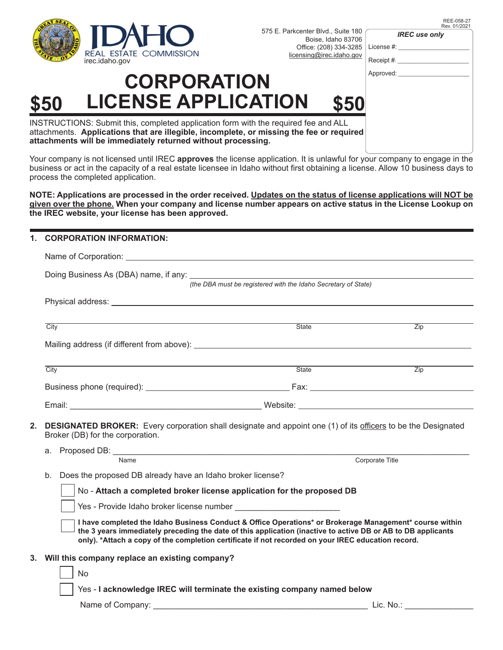

575 E. Parkcenter Blvd., Suite 180 Boise, Idaho 83706 Office: (208) 334-3285

| REE-058-27   |
|--------------|
| Rev. 01/2021 |

*IREC use only*

License #: Receipt #:

#### Approved:

| <b>CORPORATION</b> |                            |      |  |  |
|--------------------|----------------------------|------|--|--|
| \$50               | <b>LICENSE APPLICATION</b> | \$50 |  |  |

INSTRUCTIONS: Submit this, completed application form with the required fee and ALL attachments. **Applications that are illegible, incomplete, or missing the fee or required attachments will be immediately returned without processing.**

Your company is not licensed until IREC **approves** the license application. It is unlawful for your company to engage in the business or act in the capacity of a real estate licensee in Idaho without first obtaining a license. Allow 10 business days to process the completed application.

**NOTE: Applications are processed in the order received. Updates on the status of license applications will NOT be given over the phone. When your company and license number appears on active status in the License Lookup on the IREC website, your license has been approved.** 

#### **1. CORPORATION INFORMATION:**

|                                  | (the DBA must be registered with the Idaho Secretary of State)                                                       |                        |  |  |
|----------------------------------|----------------------------------------------------------------------------------------------------------------------|------------------------|--|--|
|                                  |                                                                                                                      |                        |  |  |
| City                             | <b>State</b>                                                                                                         | $\overline{Zip}$       |  |  |
|                                  |                                                                                                                      |                        |  |  |
| City                             | <b>State</b>                                                                                                         | Zip                    |  |  |
|                                  |                                                                                                                      |                        |  |  |
|                                  |                                                                                                                      |                        |  |  |
| Broker (DB) for the corporation. | <b>DESIGNATED BROKER:</b> Every corporation shall designate and appoint one (1) of its officers to be the Designated |                        |  |  |
| Name                             |                                                                                                                      | <b>Corporate Title</b> |  |  |

b. Does the proposed DB already have an Idaho broker license?

No - **Attach a completed broker license application for the proposed DB**

Yes - Provide Idaho broker license number

**I have completed the Idaho Business Conduct & Office Operations\* or Brokerage Management\* course within the 3 years immediately preceding the date of this application (inactive to active DB or AB to DB applicants** only). \*Attach a copy of the completion certificate if not recorded on your IREC education record.

### **3. Will this company replace an existing company?**

| $\vert$ $\vert$ No                                                       |
|--------------------------------------------------------------------------|
| Yes - I acknowledge IREC will terminate the existing company named below |

Name of Company: \_\_\_\_\_\_\_\_\_\_\_\_\_\_\_\_\_\_\_\_\_\_\_\_\_\_\_\_\_\_\_\_\_\_\_\_\_\_\_\_\_\_\_\_\_\_\_ Lic. No.: \_\_\_\_\_\_\_\_\_\_\_\_\_\_\_